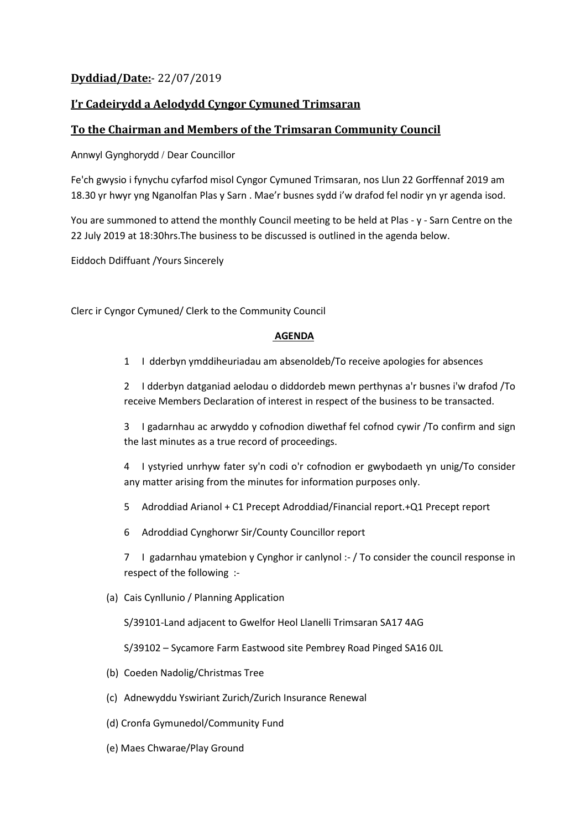## **Dyddiad/Date:**- 22/07/2019

## **I'r Cadeirydd a Aelodydd Cyngor Cymuned Trimsaran**

## **To the Chairman and Members of the Trimsaran Community Council**

Annwyl Gynghorydd / Dear Councillor

Fe'ch gwysio i fynychu cyfarfod misol Cyngor Cymuned Trimsaran, nos Llun 22 Gorffennaf 2019 am 18.30 yr hwyr yng Nganolfan Plas y Sarn . Mae'r busnes sydd i'w drafod fel nodir yn yr agenda isod.

You are summoned to attend the monthly Council meeting to be held at Plas - y - Sarn Centre on the 22 July 2019 at 18:30hrs.The business to be discussed is outlined in the agenda below.

Eiddoch Ddiffuant /Yours Sincerely

Clerc ir Cyngor Cymuned/ Clerk to the Community Council

## **AGENDA**

1 I dderbyn ymddiheuriadau am absenoldeb/To receive apologies for absences

2 I dderbyn datganiad aelodau o diddordeb mewn perthynas a'r busnes i'w drafod /To receive Members Declaration of interest in respect of the business to be transacted.

3 I gadarnhau ac arwyddo y cofnodion diwethaf fel cofnod cywir /To confirm and sign the last minutes as a true record of proceedings.

4 I ystyried unrhyw fater sy'n codi o'r cofnodion er gwybodaeth yn unig/To consider any matter arising from the minutes for information purposes only.

- 5 Adroddiad Arianol + C1 Precept Adroddiad/Financial report.+Q1 Precept report
- 6 Adroddiad Cynghorwr Sir/County Councillor report

7 I gadarnhau ymatebion y Cynghor ir canlynol :- / To consider the council response in respect of the following :-

(a) Cais Cynllunio / Planning Application

S/39101-Land adjacent to Gwelfor Heol Llanelli Trimsaran SA17 4AG

S/39102 – Sycamore Farm Eastwood site Pembrey Road Pinged SA16 0JL

- (b) Coeden Nadolig/Christmas Tree
- (c) Adnewyddu Yswiriant Zurich/Zurich Insurance Renewal
- (d) Cronfa Gymunedol/Community Fund
- (e) Maes Chwarae/Play Ground